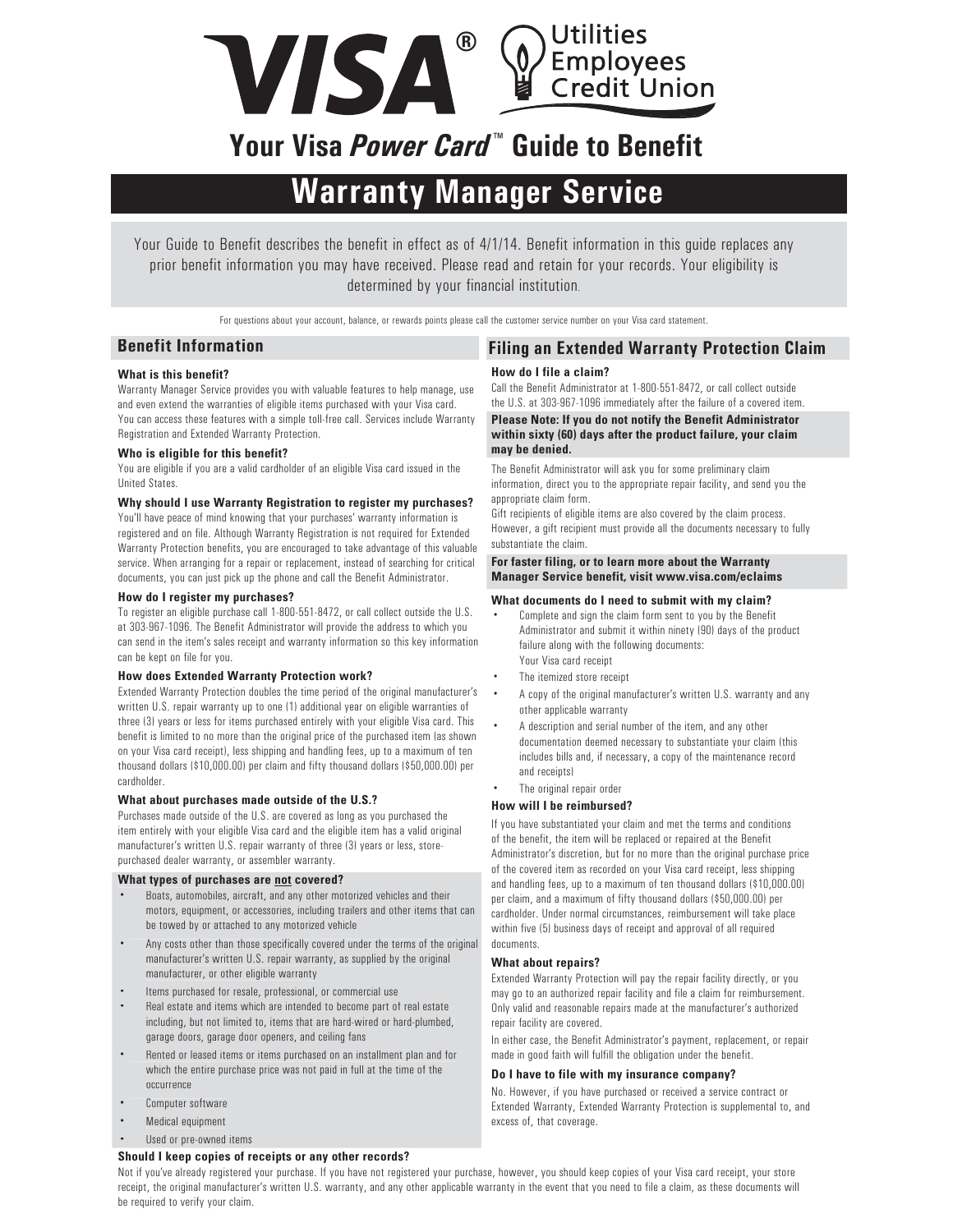

# **Your Visa** *Power Card* **™ Guide to Benefit**

# **Warranty Manager Service**

Your Guide to Benefit describes the benefit in effect as of 4/1/14. Benefit information in this guide replaces any prior benefit information you may have received. Please read and retain for your records. Your eligibility is determined by your financial institution.

For questions about your account, balance, or rewards points please call the customer service number on your Visa card statement.

## **Benefit Information Filing an Extended Warranty Protection Claim**

### **What is this benefit?**

Warranty Manager Service provides you with valuable features to help manage, use and even extend the warranties of eligible items purchased with your Visa card. You can access these features with a simple toll-free call. Services include Warranty Registration and Extended Warranty Protection.

#### **Who is eligible for this benefit?**

You are eligible if you are a valid cardholder of an eligible Visa card issued in the United States.

#### **Why should I use Warranty Registration to register my purchases?**

You'll have peace of mind knowing that your purchases' warranty information is registered and on file. Although Warranty Registration is not required for Extended Warranty Protection benefits, you are encouraged to take advantage of this valuable service. When arranging for a repair or replacement, instead of searching for critical documents, you can just pick up the phone and call the Benefit Administrator.

#### **How do I register my purchases?**

To register an eligible purchase call 1-800-551-8472, or call collect outside the U.S. at 303-967-1096. The Benefit Administrator will provide the address to which you can send in the item's sales receipt and warranty information so this key information can be kept on file for you.

#### **How does Extended Warranty Protection work?**

Extended Warranty Protection doubles the time period of the original manufacturer's written U.S. repair warranty up to one (1) additional year on eligible warranties of three (3) years or less for items purchased entirely with your eligible Visa card. This benefit is limited to no more than the original price of the purchased item (as shown on your Visa card receipt), less shipping and handling fees, up to a maximum of ten thousand dollars (\$10,000.00) per claim and fifty thousand dollars (\$50,000.00) per cardholder.

#### **What about purchases made outside of the U.S.?**

Purchases made outside of the U.S. are covered as long as you purchased the item entirely with your eligible Visa card and the eligible item has a valid original manufacturer's written U.S. repair warranty of three (3) years or less, storepurchased dealer warranty, or assembler warranty.

#### **What types of purchases are not covered?**

- Boats, automobiles, aircraft, and any other motorized vehicles and their motors, equipment, or accessories, including trailers and other items that can be towed by or attached to any motorized vehicle
- Any costs other than those specifically covered under the terms of the original manufacturer's written U.S. repair warranty, as supplied by the original manufacturer, or other eligible warranty
- Items purchased for resale, professional, or commercial use
- Real estate and items which are intended to become part of real estate including, but not limited to, items that are hard-wired or hard-plumbed, garage doors, garage door openers, and ceiling fans
- Rented or leased items or items purchased on an installment plan and for which the entire purchase price was not paid in full at the time of the occurrence
- Computer software
- Medical equipment
- Used or pre-owned items

#### **Should I keep copies of receipts or any other records?**

#### **How do I file a claim?** Call the Benefit Administrator at 1-800-551-8472, or call collect outside the U.S. at 303-967-1096 immediately after the failure of a covered item. **Please Note: If you do not notify the Benefit Administrator within sixty (60) days after the product failure, your claim**

**may be denied.**  The Benefit Administrator will ask you for some preliminary claim information, direct you to the appropriate repair facility, and send you the appropriate claim form.

Gift recipients of eligible items are also covered by the claim process. However, a gift recipient must provide all the documents necessary to fully substantiate the claim.

#### **For faster filing, or to learn more about the Warranty Manager Service benefit, visit www.visa.com/eclaims**

#### **What documents do I need to submit with my claim?**

- Complete and sign the claim form sent to you by the Benefit Administrator and submit it within ninety (90) days of the product failure along with the following documents: Your Visa card receipt
- The itemized store receipt
- A copy of the original manufacturer's written U.S. warranty and any other applicable warranty
- A description and serial number of the item, and any other documentation deemed necessary to substantiate your claim (this includes bills and, if necessary, a copy of the maintenance record and receipts)
- The original repair order

#### **How will I be reimbursed?**

If you have substantiated your claim and met the terms and conditions of the benefit, the item will be replaced or repaired at the Benefit Administrator's discretion, but for no more than the original purchase price of the covered item as recorded on your Visa card receipt, less shipping and handling fees, up to a maximum of ten thousand dollars (\$10,000.00) per claim, and a maximum of fifty thousand dollars (\$50,000.00) per cardholder. Under normal circumstances, reimbursement will take place within five (5) business days of receipt and approval of all required documents.

### **What about repairs?**

Extended Warranty Protection will pay the repair facility directly, or you may go to an authorized repair facility and file a claim for reimbursement. Only valid and reasonable repairs made at the manufacturer's authorized repair facility are covered.

In either case, the Benefit Administrator's payment, replacement, or repair made in good faith will fulfill the obligation under the benefit.

#### **Do I have to file with my insurance company?**

No. However, if you have purchased or received a service contract or Extended Warranty, Extended Warranty Protection is supplemental to, and excess of, that coverage.

Not if you've already registered your purchase. If you have not registered your purchase, however, you should keep copies of your Visa card receipt, your store receipt, the original manufacturer's written U.S. warranty, and any other applicable warranty in the event that you need to file a claim, as these documents will be required to verify your claim.